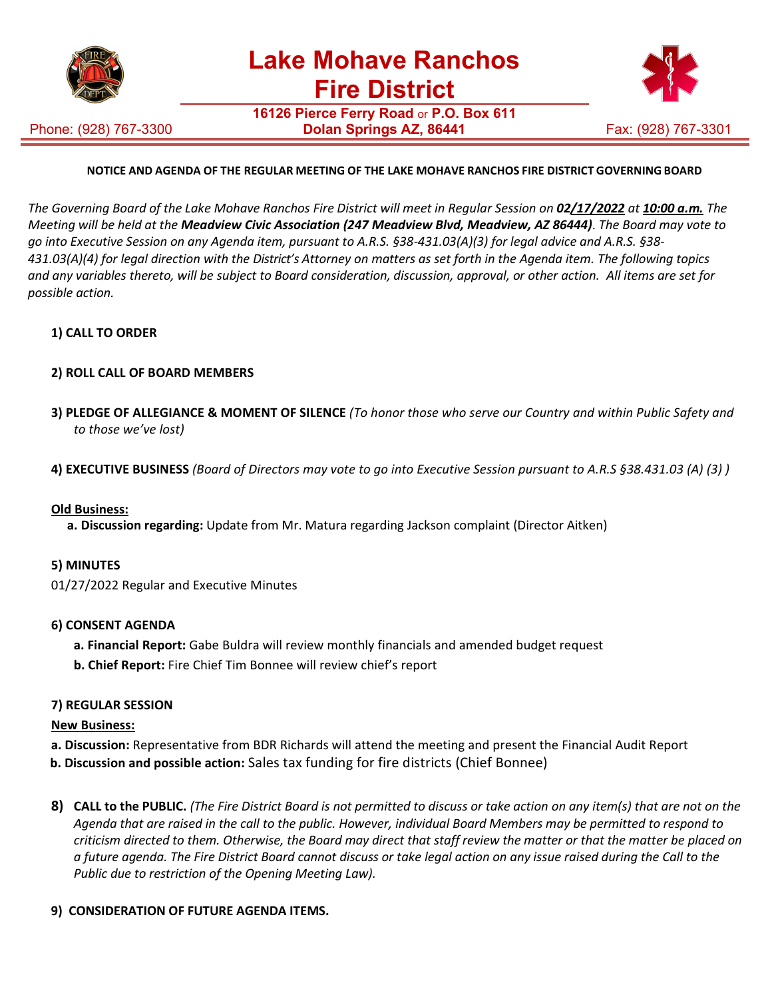

Phone: (928) 767-3300

**16126 Pierce Ferry Road** or **P.O. Box 611 Dolan Springs AZ, 86441** Fax: (928) 767-3301



# **NOTICE AND AGENDA OF THE REGULAR MEETING OF THE LAKE MOHAVE RANCHOS FIRE DISTRICT GOVERNING BOARD**

The Governing Board of the Lake Mohave Ranchos Fire District will meet in Regular Session on 02/17/2022 at 10:00 a.m. The *Meeting will be held at the Meadview Civic Association (247 Meadview Blvd, Meadview, AZ 86444)*. *The Board may vote to go into Executive Session on any Agenda item, pursuant to A.R.S. §38-431.03(A)(3) for legal advice and A.R.S. §38- 431.03(A)(4) for legal direction with the District's Attorney on matters as set forth in the Agenda item. The following topics and any variables thereto, will be subject to Board consideration, discussion, approval, or other action. All items are set for possible action.*

# **1) CALL TO ORDER**

# **2) ROLL CALL OF BOARD MEMBERS**

- **3) PLEDGE OF ALLEGIANCE & MOMENT OF SILENCE** *(To honor those who serve our Country and within Public Safety and to those we've lost)*
- **4) EXECUTIVE BUSINESS** *(Board of Directors may vote to go into Executive Session pursuant to A.R.S §38.431.03 (A) (3) )*

### **Old Business:**

**a. Discussion regarding:** Update from Mr. Matura regarding Jackson complaint (Director Aitken)

#### **5) MINUTES**

01/27/2022 Regular and Executive Minutes

#### **6) CONSENT AGENDA**

- **a. Financial Report:** Gabe Buldra will review monthly financials and amended budget request
- **b. Chief Report:** Fire Chief Tim Bonnee will review chief's report

#### **7) REGULAR SESSION**

#### **New Business:**

- **a. Discussion:** Representative from BDR Richards will attend the meeting and present the Financial Audit Report
- **b. Discussion and possible action:** Sales tax funding for fire districts (Chief Bonnee)
- 8) CALL to the PUBLIC. (The Fire District Board is not permitted to discuss or take action on any item(s) that are not on the *Agenda that are raised in the call to the public. However, individual Board Members may be permitted to respond to criticism directed to them. Otherwise, the Board may direct that staff review the matter or that the matter be placed on a future agenda. The Fire District Board cannot discuss or take legal action on any issue raised during the Call to the Public due to restriction of the Opening Meeting Law).*

### **9) CONSIDERATION OF FUTURE AGENDA ITEMS.**